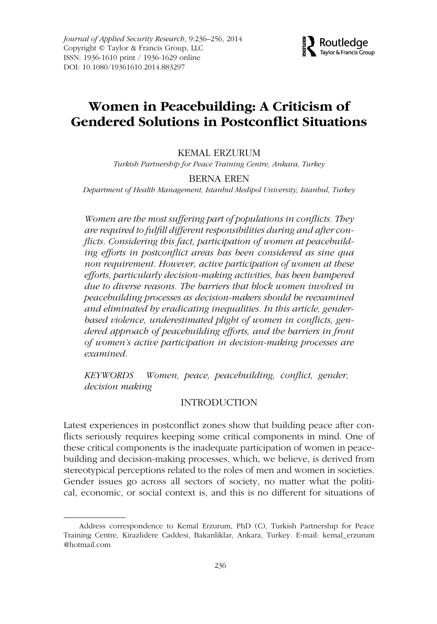*Journal of Applied Security Research*, 9:236–256, 2014 Copyright © Taylor & Francis Group, LLC ISSN: 1936-1610 print / 1936-1629 online DOI: 10.1080/19361610.2014.883297



# **Women in Peacebuilding: A Criticism of Gendered Solutions in Postconflict Situations**

# KEMAL ERZURUM

*Turkish Partnership for Peace Training Centre, Ankara, Turkey*

#### BERNA EREN

*Department of Health Management, Istanbul Medipol University, Istanbul, Turkey*

*Women are the most suffering part of populations in conflicts. They are required to fulfill different responsibilities during and after conflicts. Considering this fact, participation of women at peacebuilding efforts in postconflict areas has been considered as sine qua non requirement. However, active participation of women at these efforts, particularly decision-making activities, has been hampered due to diverse reasons. The barriers that block women involved in peacebuilding processes as decision-makers should be reexamined and eliminated by eradicating inequalities. In this article, genderbased violence, underestimated plight of women in conflicts, gendered approach of peacebuilding efforts, and the barriers in front of women's active participation in decision-making processes are examined.*

*KEYWORDS Women, peace, peacebuilding, conflict, gender, decision making*

# INTRODUCTION

Latest experiences in postconflict zones show that building peace after conflicts seriously requires keeping some critical components in mind. One of these critical components is the inadequate participation of women in peacebuilding and decision-making processes, which, we believe, is derived from stereotypical perceptions related to the roles of men and women in societies. Gender issues go across all sectors of society, no matter what the political, economic, or social context is, and this is no different for situations of

Address correspondence to Kemal Erzurum, PhD (C), Turkish Partnership for Peace Training Centre, Kirazlidere Caddesi, Bakanliklar, Ankara, Turkey. E-mail: kemal\_erzurum @hotmail.com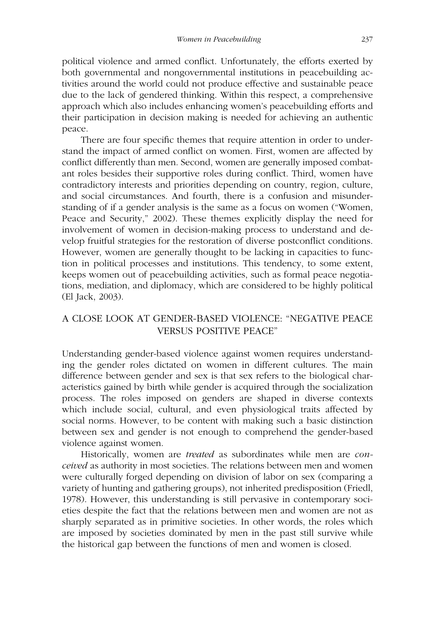political violence and armed conflict. Unfortunately, the efforts exerted by both governmental and nongovernmental institutions in peacebuilding activities around the world could not produce effective and sustainable peace due to the lack of gendered thinking. Within this respect, a comprehensive approach which also includes enhancing women's peacebuilding efforts and their participation in decision making is needed for achieving an authentic peace.

There are four specific themes that require attention in order to understand the impact of armed conflict on women. First, women are affected by conflict differently than men. Second, women are generally imposed combatant roles besides their supportive roles during conflict. Third, women have contradictory interests and priorities depending on country, region, culture, and social circumstances. And fourth, there is a confusion and misunderstanding of if a gender analysis is the same as a focus on women ("Women, Peace and Security," 2002). These themes explicitly display the need for involvement of women in decision-making process to understand and develop fruitful strategies for the restoration of diverse postconflict conditions. However, women are generally thought to be lacking in capacities to function in political processes and institutions. This tendency, to some extent, keeps women out of peacebuilding activities, such as formal peace negotiations, mediation, and diplomacy, which are considered to be highly political (El Jack, 2003).

# A CLOSE LOOK AT GENDER-BASED VIOLENCE: "NEGATIVE PEACE VERSUS POSITIVE PEACE"

Understanding gender-based violence against women requires understanding the gender roles dictated on women in different cultures. The main difference between gender and sex is that sex refers to the biological characteristics gained by birth while gender is acquired through the socialization process. The roles imposed on genders are shaped in diverse contexts which include social, cultural, and even physiological traits affected by social norms. However, to be content with making such a basic distinction between sex and gender is not enough to comprehend the gender-based violence against women.

Historically, women are *treated* as subordinates while men are *conceived* as authority in most societies. The relations between men and women were culturally forged depending on division of labor on sex (comparing a variety of hunting and gathering groups), not inherited predisposition (Friedl, 1978). However, this understanding is still pervasive in contemporary societies despite the fact that the relations between men and women are not as sharply separated as in primitive societies. In other words, the roles which are imposed by societies dominated by men in the past still survive while the historical gap between the functions of men and women is closed.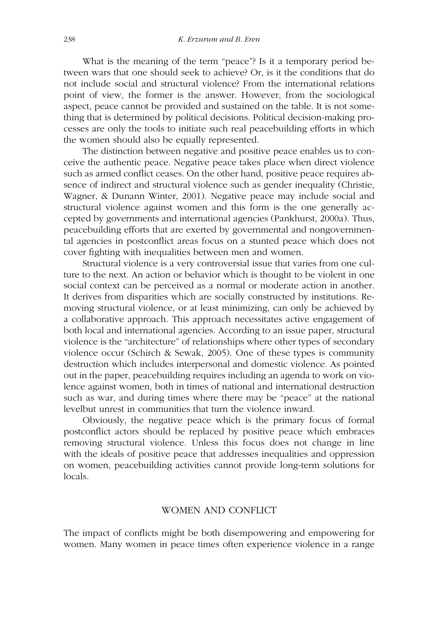What is the meaning of the term "peace"? Is it a temporary period between wars that one should seek to achieve? Or, is it the conditions that do not include social and structural violence? From the international relations point of view, the former is the answer. However, from the sociological aspect, peace cannot be provided and sustained on the table. It is not something that is determined by political decisions. Political decision-making processes are only the tools to initiate such real peacebuilding efforts in which the women should also be equally represented.

The distinction between negative and positive peace enables us to conceive the authentic peace. Negative peace takes place when direct violence such as armed conflict ceases. On the other hand, positive peace requires absence of indirect and structural violence such as gender inequality (Christie, Wagner, & Dunann Winter, 2001). Negative peace may include social and structural violence against women and this form is the one generally accepted by governments and international agencies (Pankhurst, 2000a). Thus, peacebuilding efforts that are exerted by governmental and nongovernmental agencies in postconflict areas focus on a stunted peace which does not cover fighting with inequalities between men and women.

Structural violence is a very controversial issue that varies from one culture to the next. An action or behavior which is thought to be violent in one social context can be perceived as a normal or moderate action in another. It derives from disparities which are socially constructed by institutions. Removing structural violence, or at least minimizing, can only be achieved by a collaborative approach. This approach necessitates active engagement of both local and international agencies. According to an issue paper, structural violence is the "architecture" of relationships where other types of secondary violence occur (Schirch & Sewak, 2005). One of these types is community destruction which includes interpersonal and domestic violence. As pointed out in the paper, peacebuilding requires including an agenda to work on violence against women, both in times of national and international destruction such as war, and during times where there may be "peace" at the national levelbut unrest in communities that turn the violence inward.

Obviously, the negative peace which is the primary focus of formal postconflict actors should be replaced by positive peace which embraces removing structural violence. Unless this focus does not change in line with the ideals of positive peace that addresses inequalities and oppression on women, peacebuilding activities cannot provide long-term solutions for locals.

### WOMEN AND CONFLICT

The impact of conflicts might be both disempowering and empowering for women. Many women in peace times often experience violence in a range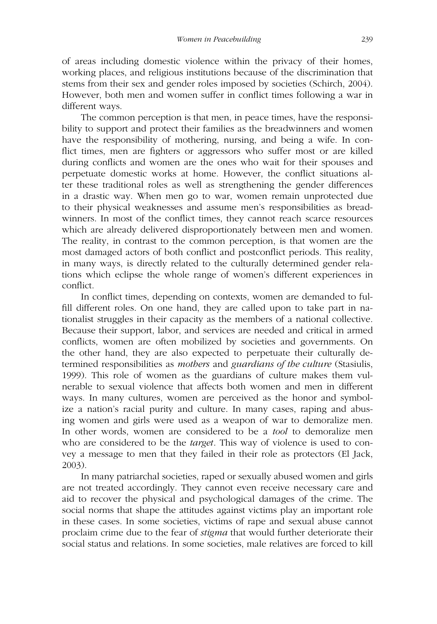of areas including domestic violence within the privacy of their homes, working places, and religious institutions because of the discrimination that stems from their sex and gender roles imposed by societies (Schirch, 2004). However, both men and women suffer in conflict times following a war in different ways.

The common perception is that men, in peace times, have the responsibility to support and protect their families as the breadwinners and women have the responsibility of mothering, nursing, and being a wife. In conflict times, men are fighters or aggressors who suffer most or are killed during conflicts and women are the ones who wait for their spouses and perpetuate domestic works at home. However, the conflict situations alter these traditional roles as well as strengthening the gender differences in a drastic way. When men go to war, women remain unprotected due to their physical weaknesses and assume men's responsibilities as breadwinners. In most of the conflict times, they cannot reach scarce resources which are already delivered disproportionately between men and women. The reality, in contrast to the common perception, is that women are the most damaged actors of both conflict and postconflict periods. This reality, in many ways, is directly related to the culturally determined gender relations which eclipse the whole range of women's different experiences in conflict.

In conflict times, depending on contexts, women are demanded to fulfill different roles. On one hand, they are called upon to take part in nationalist struggles in their capacity as the members of a national collective. Because their support, labor, and services are needed and critical in armed conflicts, women are often mobilized by societies and governments. On the other hand, they are also expected to perpetuate their culturally determined responsibilities as *mothers* and *guardians of the culture* (Stasiulis, 1999). This role of women as the guardians of culture makes them vulnerable to sexual violence that affects both women and men in different ways. In many cultures, women are perceived as the honor and symbolize a nation's racial purity and culture. In many cases, raping and abusing women and girls were used as a weapon of war to demoralize men. In other words, women are considered to be a *tool* to demoralize men who are considered to be the *target*. This way of violence is used to convey a message to men that they failed in their role as protectors (El Jack, 2003).

In many patriarchal societies, raped or sexually abused women and girls are not treated accordingly. They cannot even receive necessary care and aid to recover the physical and psychological damages of the crime. The social norms that shape the attitudes against victims play an important role in these cases. In some societies, victims of rape and sexual abuse cannot proclaim crime due to the fear of *stigma* that would further deteriorate their social status and relations. In some societies, male relatives are forced to kill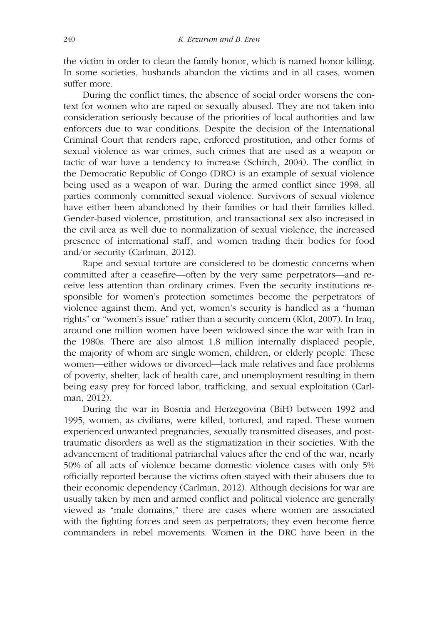the victim in order to clean the family honor, which is named honor killing. In some societies, husbands abandon the victims and in all cases, women suffer more.

During the conflict times, the absence of social order worsens the context for women who are raped or sexually abused. They are not taken into consideration seriously because of the priorities of local authorities and law enforcers due to war conditions. Despite the decision of the International Criminal Court that renders rape, enforced prostitution, and other forms of sexual violence as war crimes, such crimes that are used as a weapon or tactic of war have a tendency to increase (Schirch, 2004). The conflict in the Democratic Republic of Congo (DRC) is an example of sexual violence being used as a weapon of war. During the armed conflict since 1998, all parties commonly committed sexual violence. Survivors of sexual violence have either been abandoned by their families or had their families killed. Gender-based violence, prostitution, and transactional sex also increased in the civil area as well due to normalization of sexual violence, the increased presence of international staff, and women trading their bodies for food and/or security (Carlman, 2012).

Rape and sexual torture are considered to be domestic concerns when committed after a ceasefire—often by the very same perpetrators—and receive less attention than ordinary crimes. Even the security institutions responsible for women's protection sometimes become the perpetrators of violence against them. And yet, women's security is handled as a "human rights" or "women's issue" rather than a security concern (Klot, 2007). In Iraq, around one million women have been widowed since the war with Iran in the 1980s. There are also almost 1.8 million internally displaced people, the majority of whom are single women, children, or elderly people. These women—either widows or divorced—lack male relatives and face problems of poverty, shelter, lack of health care, and unemployment resulting in them being easy prey for forced labor, trafficking, and sexual exploitation (Carlman, 2012).

During the war in Bosnia and Herzegovina (BiH) between 1992 and 1995, women, as civilians, were killed, tortured, and raped. These women experienced unwanted pregnancies, sexually transmitted diseases, and posttraumatic disorders as well as the stigmatization in their societies. With the advancement of traditional patriarchal values after the end of the war, nearly 50% of all acts of violence became domestic violence cases with only 5% officially reported because the victims often stayed with their abusers due to their economic dependency (Carlman, 2012). Although decisions for war are usually taken by men and armed conflict and political violence are generally viewed as "male domains," there are cases where women are associated with the fighting forces and seen as perpetrators; they even become fierce commanders in rebel movements. Women in the DRC have been in the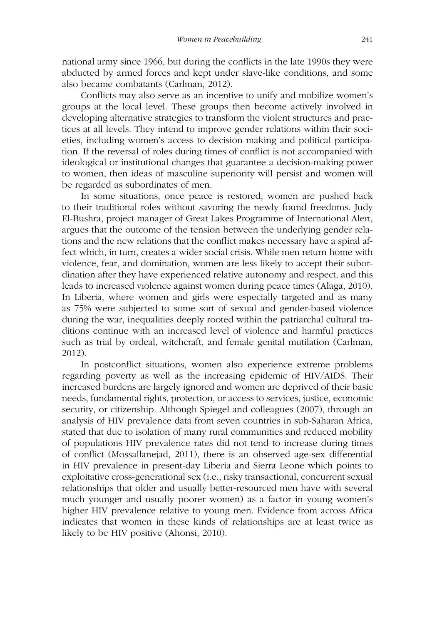national army since 1966, but during the conflicts in the late 1990s they were abducted by armed forces and kept under slave-like conditions, and some also became combatants (Carlman, 2012).

Conflicts may also serve as an incentive to unify and mobilize women's groups at the local level. These groups then become actively involved in developing alternative strategies to transform the violent structures and practices at all levels. They intend to improve gender relations within their societies, including women's access to decision making and political participation. If the reversal of roles during times of conflict is not accompanied with ideological or institutional changes that guarantee a decision-making power to women, then ideas of masculine superiority will persist and women will be regarded as subordinates of men.

In some situations, once peace is restored, women are pushed back to their traditional roles without savoring the newly found freedoms. Judy El-Bushra, project manager of Great Lakes Programme of International Alert, argues that the outcome of the tension between the underlying gender relations and the new relations that the conflict makes necessary have a spiral affect which, in turn, creates a wider social crisis. While men return home with violence, fear, and domination, women are less likely to accept their subordination after they have experienced relative autonomy and respect, and this leads to increased violence against women during peace times (Alaga, 2010). In Liberia, where women and girls were especially targeted and as many as 75% were subjected to some sort of sexual and gender-based violence during the war, inequalities deeply rooted within the patriarchal cultural traditions continue with an increased level of violence and harmful practices such as trial by ordeal, witchcraft, and female genital mutilation (Carlman, 2012).

In postconflict situations, women also experience extreme problems regarding poverty as well as the increasing epidemic of HIV/AIDS. Their increased burdens are largely ignored and women are deprived of their basic needs, fundamental rights, protection, or access to services, justice, economic security, or citizenship. Although Spiegel and colleagues (2007), through an analysis of HIV prevalence data from seven countries in sub-Saharan Africa, stated that due to isolation of many rural communities and reduced mobility of populations HIV prevalence rates did not tend to increase during times of conflict (Mossallanejad, 2011), there is an observed age-sex differential in HIV prevalence in present-day Liberia and Sierra Leone which points to exploitative cross-generational sex (i.e., risky transactional, concurrent sexual relationships that older and usually better-resourced men have with several much younger and usually poorer women) as a factor in young women's higher HIV prevalence relative to young men. Evidence from across Africa indicates that women in these kinds of relationships are at least twice as likely to be HIV positive (Ahonsi, 2010).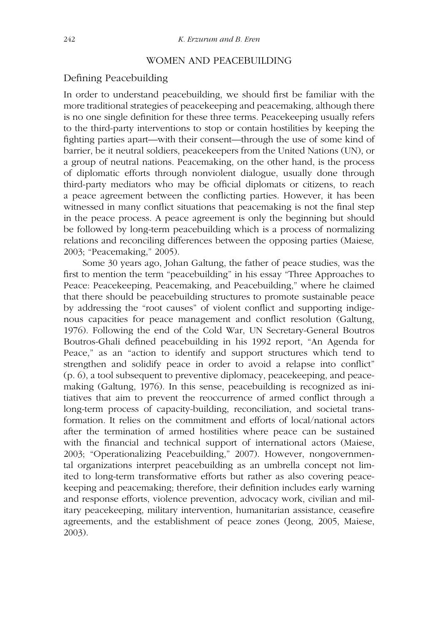## WOMEN AND PEACEBUILDING

# Defining Peacebuilding

In order to understand peacebuilding, we should first be familiar with the more traditional strategies of peacekeeping and peacemaking, although there is no one single definition for these three terms. Peacekeeping usually refers to the third-party interventions to stop or contain hostilities by keeping the fighting parties apart—with their consent—through the use of some kind of barrier, be it neutral soldiers, peacekeepers from the United Nations (UN), or a group of neutral nations. Peacemaking, on the other hand, is the process of diplomatic efforts through nonviolent dialogue, usually done through third-party mediators who may be official diplomats or citizens, to reach a peace agreement between the conflicting parties. However, it has been witnessed in many conflict situations that peacemaking is not the final step in the peace process. A peace agreement is only the beginning but should be followed by long-term peacebuilding which is a process of normalizing relations and reconciling differences between the opposing parties (Maiese*,* 2003; "Peacemaking," 2005).

Some 30 years ago, Johan Galtung, the father of peace studies, was the first to mention the term "peacebuilding" in his essay "Three Approaches to Peace: Peacekeeping, Peacemaking, and Peacebuilding," where he claimed that there should be peacebuilding structures to promote sustainable peace by addressing the "root causes" of violent conflict and supporting indigenous capacities for peace management and conflict resolution (Galtung, 1976). Following the end of the Cold War, UN Secretary-General Boutros Boutros-Ghali defined peacebuilding in his 1992 report, "An Agenda for Peace," as an "action to identify and support structures which tend to strengthen and solidify peace in order to avoid a relapse into conflict" (p. 6), a tool subsequent to preventive diplomacy, peacekeeping, and peacemaking (Galtung, 1976). In this sense, peacebuilding is recognized as initiatives that aim to prevent the reoccurrence of armed conflict through a long-term process of capacity-building, reconciliation, and societal transformation. It relies on the commitment and efforts of local/national actors after the termination of armed hostilities where peace can be sustained with the financial and technical support of international actors (Maiese, 2003; "Operationalizing Peacebuilding," 2007). However, nongovernmental organizations interpret peacebuilding as an umbrella concept not limited to long-term transformative efforts but rather as also covering peacekeeping and peacemaking; therefore, their definition includes early warning and response efforts, violence prevention, advocacy work, civilian and military peacekeeping, military intervention, humanitarian assistance, ceasefire agreements, and the establishment of peace zones (Jeong, 2005, Maiese, 2003).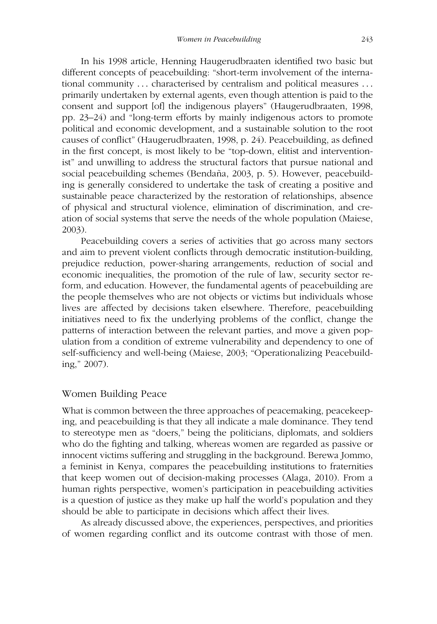In his 1998 article, Henning Haugerudbraaten identified two basic but different concepts of peacebuilding: "short-term involvement of the international community ... characterised by centralism and political measures ... primarily undertaken by external agents, even though attention is paid to the consent and support [of] the indigenous players" (Haugerudbraaten, 1998, pp. 23–24) and "long-term efforts by mainly indigenous actors to promote political and economic development, and a sustainable solution to the root causes of conflict" (Haugerudbraaten, 1998, p. 24). Peacebuilding, as defined in the first concept, is most likely to be "top-down, elitist and interventionist" and unwilling to address the structural factors that pursue national and social peacebuilding schemes (Bendaña, 2003, p. 5). However, peacebuilding is generally considered to undertake the task of creating a positive and sustainable peace characterized by the restoration of relationships, absence of physical and structural violence, elimination of discrimination, and creation of social systems that serve the needs of the whole population (Maiese, 2003).

Peacebuilding covers a series of activities that go across many sectors and aim to prevent violent conflicts through democratic institution-building, prejudice reduction, power-sharing arrangements, reduction of social and economic inequalities, the promotion of the rule of law, security sector reform, and education. However, the fundamental agents of peacebuilding are the people themselves who are not objects or victims but individuals whose lives are affected by decisions taken elsewhere. Therefore, peacebuilding initiatives need to fix the underlying problems of the conflict, change the patterns of interaction between the relevant parties, and move a given population from a condition of extreme vulnerability and dependency to one of self-sufficiency and well-being (Maiese, 2003; "Operationalizing Peacebuilding," 2007).

#### Women Building Peace

What is common between the three approaches of peacemaking, peacekeeping, and peacebuilding is that they all indicate a male dominance. They tend to stereotype men as "doers," being the politicians, diplomats, and soldiers who do the fighting and talking, whereas women are regarded as passive or innocent victims suffering and struggling in the background. Berewa Jommo, a feminist in Kenya, compares the peacebuilding institutions to fraternities that keep women out of decision-making processes (Alaga, 2010). From a human rights perspective, women's participation in peacebuilding activities is a question of justice as they make up half the world's population and they should be able to participate in decisions which affect their lives.

As already discussed above, the experiences, perspectives, and priorities of women regarding conflict and its outcome contrast with those of men.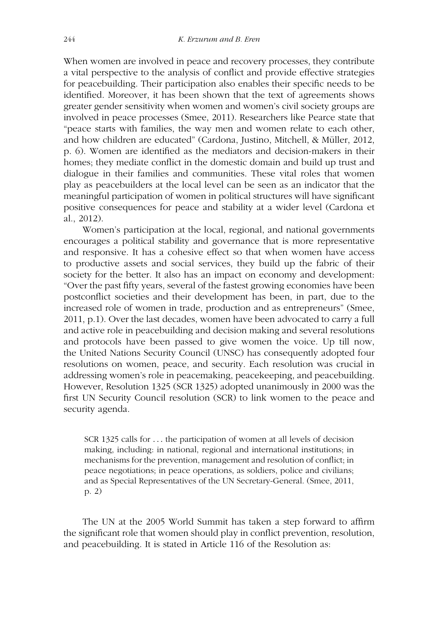When women are involved in peace and recovery processes, they contribute a vital perspective to the analysis of conflict and provide effective strategies for peacebuilding. Their participation also enables their specific needs to be identified. Moreover, it has been shown that the text of agreements shows greater gender sensitivity when women and women's civil society groups are involved in peace processes (Smee, 2011). Researchers like Pearce state that "peace starts with families, the way men and women relate to each other, and how children are educated" (Cardona, Justino, Mitchell, & Müller, 2012, p. 6). Women are identified as the mediators and decision-makers in their homes; they mediate conflict in the domestic domain and build up trust and dialogue in their families and communities. These vital roles that women play as peacebuilders at the local level can be seen as an indicator that the meaningful participation of women in political structures will have significant positive consequences for peace and stability at a wider level (Cardona et al., 2012).

Women's participation at the local, regional, and national governments encourages a political stability and governance that is more representative and responsive. It has a cohesive effect so that when women have access to productive assets and social services, they build up the fabric of their society for the better. It also has an impact on economy and development: "Over the past fifty years, several of the fastest growing economies have been postconflict societies and their development has been, in part, due to the increased role of women in trade, production and as entrepreneurs" (Smee, 2011, p.1). Over the last decades, women have been advocated to carry a full and active role in peacebuilding and decision making and several resolutions and protocols have been passed to give women the voice. Up till now, the United Nations Security Council (UNSC) has consequently adopted four resolutions on women, peace, and security. Each resolution was crucial in addressing women's role in peacemaking, peacekeeping, and peacebuilding. However, Resolution 1325 (SCR 1325) adopted unanimously in 2000 was the first UN Security Council resolution (SCR) to link women to the peace and security agenda.

SCR 1325 calls for ... the participation of women at all levels of decision making, including: in national, regional and international institutions; in mechanisms for the prevention, management and resolution of conflict; in peace negotiations; in peace operations, as soldiers, police and civilians; and as Special Representatives of the UN Secretary-General. (Smee, 2011, p. 2)

The UN at the 2005 World Summit has taken a step forward to affirm the significant role that women should play in conflict prevention, resolution, and peacebuilding. It is stated in Article 116 of the Resolution as: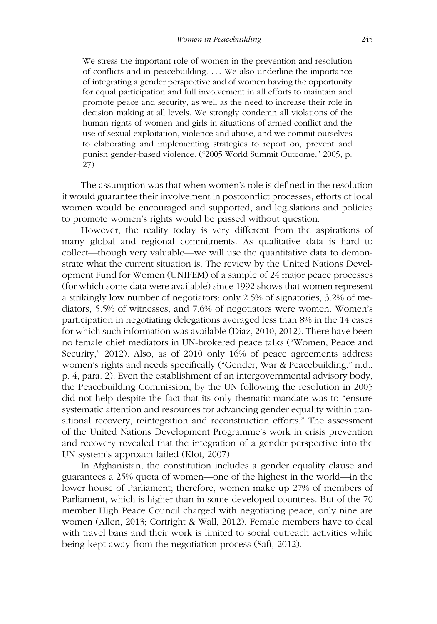We stress the important role of women in the prevention and resolution of conflicts and in peacebuilding. ... We also underline the importance of integrating a gender perspective and of women having the opportunity for equal participation and full involvement in all efforts to maintain and promote peace and security, as well as the need to increase their role in decision making at all levels. We strongly condemn all violations of the human rights of women and girls in situations of armed conflict and the use of sexual exploitation, violence and abuse, and we commit ourselves to elaborating and implementing strategies to report on, prevent and punish gender-based violence. ("2005 World Summit Outcome," 2005, p. 27)

The assumption was that when women's role is defined in the resolution it would guarantee their involvement in postconflict processes, efforts of local women would be encouraged and supported, and legislations and policies to promote women's rights would be passed without question.

However, the reality today is very different from the aspirations of many global and regional commitments. As qualitative data is hard to collect—though very valuable—we will use the quantitative data to demonstrate what the current situation is. The review by the United Nations Development Fund for Women (UNIFEM) of a sample of 24 major peace processes (for which some data were available) since 1992 shows that women represent a strikingly low number of negotiators: only 2.5% of signatories, 3.2% of mediators, 5.5% of witnesses, and 7.6% of negotiators were women. Women's participation in negotiating delegations averaged less than 8% in the 14 cases for which such information was available (Diaz, 2010, 2012). There have been no female chief mediators in UN-brokered peace talks ("Women, Peace and Security," 2012). Also, as of 2010 only 16% of peace agreements address women's rights and needs specifically ("Gender, War & Peacebuilding," n.d., p. 4, para. 2). Even the establishment of an intergovernmental advisory body, the Peacebuilding Commission, by the UN following the resolution in 2005 did not help despite the fact that its only thematic mandate was to "ensure systematic attention and resources for advancing gender equality within transitional recovery, reintegration and reconstruction efforts." The assessment of the United Nations Development Programme's work in crisis prevention and recovery revealed that the integration of a gender perspective into the UN system's approach failed (Klot, 2007).

In Afghanistan, the constitution includes a gender equality clause and guarantees a 25% quota of women—one of the highest in the world—in the lower house of Parliament; therefore, women make up 27% of members of Parliament, which is higher than in some developed countries. But of the 70 member High Peace Council charged with negotiating peace, only nine are women (Allen, 2013; Cortright & Wall, 2012). Female members have to deal with travel bans and their work is limited to social outreach activities while being kept away from the negotiation process (Safi, 2012).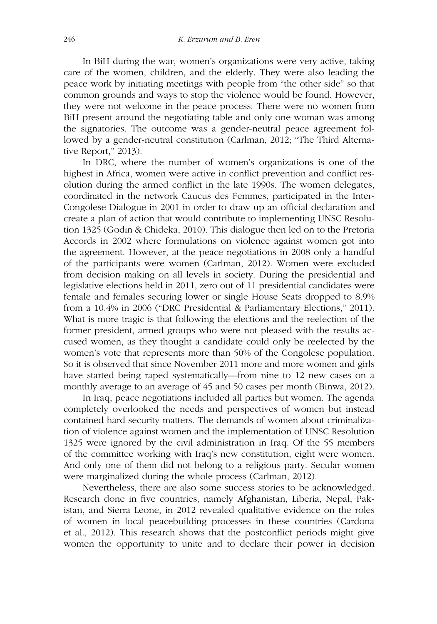In BiH during the war, women's organizations were very active, taking care of the women, children, and the elderly. They were also leading the peace work by initiating meetings with people from "the other side" so that common grounds and ways to stop the violence would be found. However, they were not welcome in the peace process: There were no women from BiH present around the negotiating table and only one woman was among the signatories. The outcome was a gender-neutral peace agreement followed by a gender-neutral constitution (Carlman, 2012; "The Third Alternative Report," 2013).

In DRC, where the number of women's organizations is one of the highest in Africa, women were active in conflict prevention and conflict resolution during the armed conflict in the late 1990s. The women delegates, coordinated in the network Caucus des Femmes, participated in the Inter-Congolese Dialogue in 2001 in order to draw up an official declaration and create a plan of action that would contribute to implementing UNSC Resolution 1325 (Godin & Chideka, 2010). This dialogue then led on to the Pretoria Accords in 2002 where formulations on violence against women got into the agreement. However, at the peace negotiations in 2008 only a handful of the participants were women (Carlman, 2012). Women were excluded from decision making on all levels in society. During the presidential and legislative elections held in 2011, zero out of 11 presidential candidates were female and females securing lower or single House Seats dropped to 8.9% from a 10.4% in 2006 ("DRC Presidential & Parliamentary Elections," 2011). What is more tragic is that following the elections and the reelection of the former president, armed groups who were not pleased with the results accused women, as they thought a candidate could only be reelected by the women's vote that represents more than 50% of the Congolese population. So it is observed that since November 2011 more and more women and girls have started being raped systematically—from nine to 12 new cases on a monthly average to an average of 45 and 50 cases per month (Binwa, 2012).

In Iraq, peace negotiations included all parties but women. The agenda completely overlooked the needs and perspectives of women but instead contained hard security matters. The demands of women about criminalization of violence against women and the implementation of UNSC Resolution 1325 were ignored by the civil administration in Iraq. Of the 55 members of the committee working with Iraq's new constitution, eight were women. And only one of them did not belong to a religious party. Secular women were marginalized during the whole process (Carlman, 2012).

Nevertheless, there are also some success stories to be acknowledged. Research done in five countries, namely Afghanistan, Liberia, Nepal, Pakistan, and Sierra Leone, in 2012 revealed qualitative evidence on the roles of women in local peacebuilding processes in these countries (Cardona et al., 2012). This research shows that the postconflict periods might give women the opportunity to unite and to declare their power in decision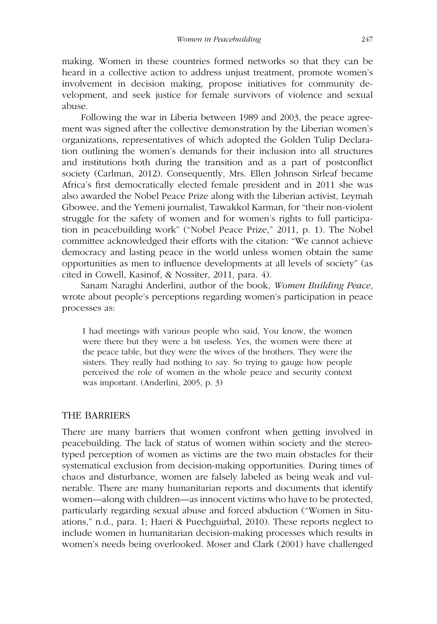making. Women in these countries formed networks so that they can be heard in a collective action to address unjust treatment, promote women's involvement in decision making, propose initiatives for community development, and seek justice for female survivors of violence and sexual abuse.

Following the war in Liberia between 1989 and 2003, the peace agreement was signed after the collective demonstration by the Liberian women's organizations, representatives of which adopted the Golden Tulip Declaration outlining the women's demands for their inclusion into all structures and institutions both during the transition and as a part of postconflict society (Carlman, 2012). Consequently, Mrs. Ellen Johnson Sirleaf became Africa's first democratically elected female president and in 2011 she was also awarded the Nobel Peace Prize along with the Liberian activist, Leymah Gbowee, and the Yemeni journalist, Tawakkol Karman, for "their non-violent struggle for the safety of women and for women's rights to full participation in peacebuilding work" ("Nobel Peace Prize," 2011, p. 1). The Nobel committee acknowledged their efforts with the citation: "We cannot achieve democracy and lasting peace in the world unless women obtain the same opportunities as men to influence developments at all levels of society" (as cited in Cowell, Kasinof, & Nossiter, 2011, para. 4).

Sanam Naraghi Anderlini, author of the book, *Women Building Peace*, wrote about people's perceptions regarding women's participation in peace processes as:

I had meetings with various people who said, You know, the women were there but they were a bit useless. Yes, the women were there at the peace table, but they were the wives of the brothers. They were the sisters. They really had nothing to say. So trying to gauge how people perceived the role of women in the whole peace and security context was important. (Anderlini, 2005, p. 3)

# THE BARRIERS

There are many barriers that women confront when getting involved in peacebuilding. The lack of status of women within society and the stereotyped perception of women as victims are the two main obstacles for their systematical exclusion from decision-making opportunities. During times of chaos and disturbance, women are falsely labeled as being weak and vulnerable. There are many humanitarian reports and documents that identify women—along with children—as innocent victims who have to be protected, particularly regarding sexual abuse and forced abduction ("Women in Situations," n.d., para. 1; Haeri & Puechguirbal, 2010). These reports neglect to include women in humanitarian decision-making processes which results in women's needs being overlooked. Moser and Clark (2001) have challenged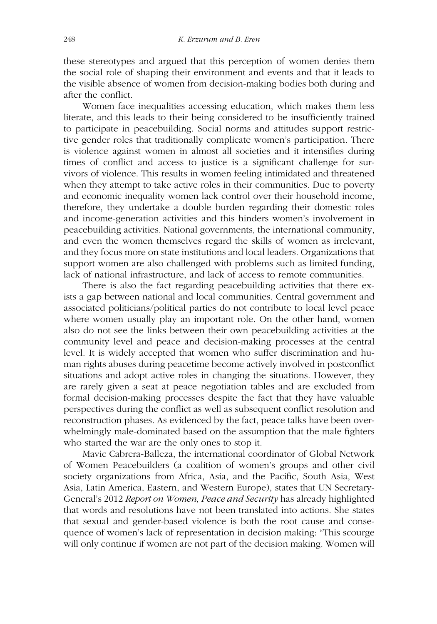these stereotypes and argued that this perception of women denies them the social role of shaping their environment and events and that it leads to the visible absence of women from decision-making bodies both during and after the conflict.

Women face inequalities accessing education, which makes them less literate, and this leads to their being considered to be insufficiently trained to participate in peacebuilding. Social norms and attitudes support restrictive gender roles that traditionally complicate women's participation. There is violence against women in almost all societies and it intensifies during times of conflict and access to justice is a significant challenge for survivors of violence. This results in women feeling intimidated and threatened when they attempt to take active roles in their communities. Due to poverty and economic inequality women lack control over their household income, therefore, they undertake a double burden regarding their domestic roles and income-generation activities and this hinders women's involvement in peacebuilding activities. National governments, the international community, and even the women themselves regard the skills of women as irrelevant, and they focus more on state institutions and local leaders. Organizations that support women are also challenged with problems such as limited funding, lack of national infrastructure, and lack of access to remote communities.

There is also the fact regarding peacebuilding activities that there exists a gap between national and local communities. Central government and associated politicians/political parties do not contribute to local level peace where women usually play an important role. On the other hand, women also do not see the links between their own peacebuilding activities at the community level and peace and decision-making processes at the central level. It is widely accepted that women who suffer discrimination and human rights abuses during peacetime become actively involved in postconflict situations and adopt active roles in changing the situations. However, they are rarely given a seat at peace negotiation tables and are excluded from formal decision-making processes despite the fact that they have valuable perspectives during the conflict as well as subsequent conflict resolution and reconstruction phases. As evidenced by the fact, peace talks have been overwhelmingly male-dominated based on the assumption that the male fighters who started the war are the only ones to stop it.

Mavic Cabrera-Balleza, the international coordinator of Global Network of Women Peacebuilders (a coalition of women's groups and other civil society organizations from Africa, Asia, and the Pacific, South Asia, West Asia, Latin America, Eastern, and Western Europe), states that UN Secretary-General's 2012 *Report on Women, Peace and Security* has already highlighted that words and resolutions have not been translated into actions. She states that sexual and gender-based violence is both the root cause and consequence of women's lack of representation in decision making: "This scourge will only continue if women are not part of the decision making. Women will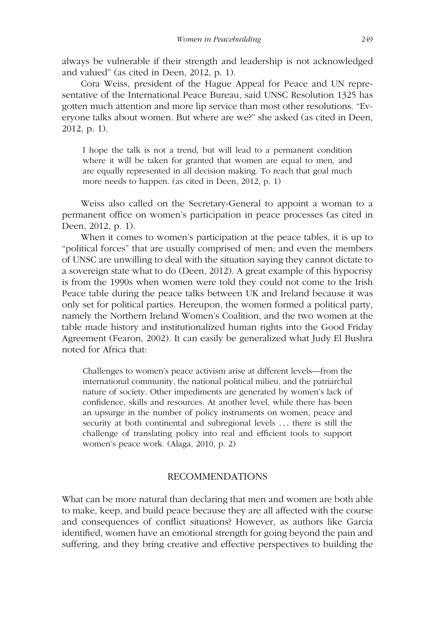always be vulnerable if their strength and leadership is not acknowledged and valued" (as cited in Deen, 2012, p. 1).

Cora Weiss, president of the Hague Appeal for Peace and UN representative of the International Peace Bureau, said UNSC Resolution 1325 has gotten much attention and more lip service than most other resolutions. "Everyone talks about women. But where are we?" she asked (as cited in Deen, 2012, p. 1).

I hope the talk is not a trend, but will lead to a permanent condition where it will be taken for granted that women are equal to men, and are equally represented in all decision making. To reach that goal much more needs to happen. (as cited in Deen, 2012, p. 1)

Weiss also called on the Secretary-General to appoint a woman to a permanent office on women's participation in peace processes (as cited in Deen, 2012, p. 1).

When it comes to women's participation at the peace tables, it is up to "political forces" that are usually comprised of men; and even the members of UNSC are unwilling to deal with the situation saying they cannot dictate to a sovereign state what to do (Deen, 2012). A great example of this hypocrisy is from the 1990s when women were told they could not come to the Irish Peace table during the peace talks between UK and Ireland because it was only set for political parties. Hereupon, the women formed a political party, namely the Northern Ireland Women's Coalition, and the two women at the table made history and institutionalized human rights into the Good Friday Agreement (Fearon, 2002). It can easily be generalized what Judy El Bushra noted for Africa that:

Challenges to women's peace activism arise at different levels—from the international community, the national political milieu, and the patriarchal nature of society. Other impediments are generated by women's lack of confidence, skills and resources. At another level, while there has been an upsurge in the number of policy instruments on women, peace and security at both continental and subregional levels ... there is still the challenge of translating policy into real and efficient tools to support women's peace work. (Alaga, 2010, p. 2)

#### RECOMMENDATIONS

What can be more natural than declaring that men and women are both able to make, keep, and build peace because they are all affected with the course and consequences of conflict situations? However, as authors like Garcia identified, women have an emotional strength for going beyond the pain and suffering, and they bring creative and effective perspectives to building the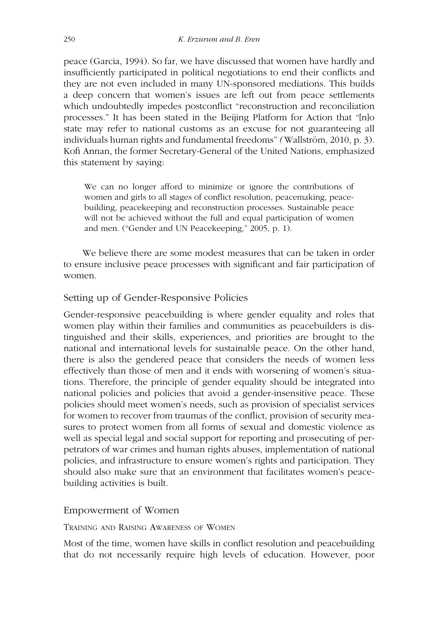peace (Garcia, 1994). So far, we have discussed that women have hardly and insufficiently participated in political negotiations to end their conflicts and they are not even included in many UN-sponsored mediations. This builds a deep concern that women's issues are left out from peace settlements which undoubtedly impedes postconflict "reconstruction and reconciliation processes." It has been stated in the Beijing Platform for Action that "[n]o state may refer to national customs as an excuse for not guaranteeing all individuals human rights and fundamental freedoms" *(Wallström, 2010, p. 3)*. Kofi Annan, the former Secretary-General of the United Nations, emphasized this statement by saying:

We can no longer afford to minimize or ignore the contributions of women and girls to all stages of conflict resolution, peacemaking, peacebuilding, peacekeeping and reconstruction processes. Sustainable peace will not be achieved without the full and equal participation of women and men. ("Gender and UN Peacekeeping," 2005, p. 1).

We believe there are some modest measures that can be taken in order to ensure inclusive peace processes with significant and fair participation of women.

# Setting up of Gender-Responsive Policies

Gender-responsive peacebuilding is where gender equality and roles that women play within their families and communities as peacebuilders is distinguished and their skills, experiences, and priorities are brought to the national and international levels for sustainable peace. On the other hand, there is also the gendered peace that considers the needs of women less effectively than those of men and it ends with worsening of women's situations. Therefore, the principle of gender equality should be integrated into national policies and policies that avoid a gender-insensitive peace. These policies should meet women's needs, such as provision of specialist services for women to recover from traumas of the conflict, provision of security measures to protect women from all forms of sexual and domestic violence as well as special legal and social support for reporting and prosecuting of perpetrators of war crimes and human rights abuses, implementation of national policies, and infrastructure to ensure women's rights and participation. They should also make sure that an environment that facilitates women's peacebuilding activities is built.

# Empowerment of Women

TRAINING AND RAISING AWARENESS OF WOMEN

Most of the time, women have skills in conflict resolution and peacebuilding that do not necessarily require high levels of education. However, poor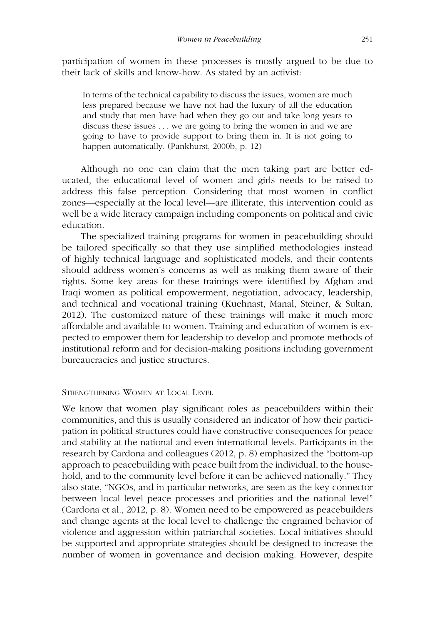participation of women in these processes is mostly argued to be due to their lack of skills and know-how. As stated by an activist:

In terms of the technical capability to discuss the issues, women are much less prepared because we have not had the luxury of all the education and study that men have had when they go out and take long years to discuss these issues ... we are going to bring the women in and we are going to have to provide support to bring them in. It is not going to happen automatically. (Pankhurst, 2000b, p. 12)

Although no one can claim that the men taking part are better educated, the educational level of women and girls needs to be raised to address this false perception. Considering that most women in conflict zones—especially at the local level—are illiterate, this intervention could as well be a wide literacy campaign including components on political and civic education.

The specialized training programs for women in peacebuilding should be tailored specifically so that they use simplified methodologies instead of highly technical language and sophisticated models, and their contents should address women's concerns as well as making them aware of their rights. Some key areas for these trainings were identified by Afghan and Iraqi women as political empowerment, negotiation, advocacy, leadership, and technical and vocational training (Kuehnast, Manal, Steiner, & Sultan, 2012). The customized nature of these trainings will make it much more affordable and available to women. Training and education of women is expected to empower them for leadership to develop and promote methods of institutional reform and for decision-making positions including government bureaucracies and justice structures.

### STRENGTHENING WOMEN AT LOCAL LEVEL

We know that women play significant roles as peacebuilders within their communities, and this is usually considered an indicator of how their participation in political structures could have constructive consequences for peace and stability at the national and even international levels. Participants in the research by Cardona and colleagues (2012, p. 8) emphasized the "bottom-up approach to peacebuilding with peace built from the individual, to the household, and to the community level before it can be achieved nationally." They also state, "NGOs, and in particular networks, are seen as the key connector between local level peace processes and priorities and the national level" (Cardona et al., 2012, p. 8). Women need to be empowered as peacebuilders and change agents at the local level to challenge the engrained behavior of violence and aggression within patriarchal societies. Local initiatives should be supported and appropriate strategies should be designed to increase the number of women in governance and decision making. However, despite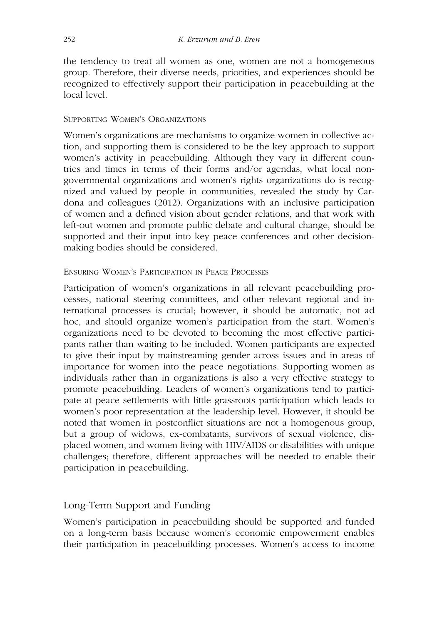the tendency to treat all women as one, women are not a homogeneous group. Therefore, their diverse needs, priorities, and experiences should be recognized to effectively support their participation in peacebuilding at the local level.

# SUPPORTING WOMEN'S ORGANIZATIONS

Women's organizations are mechanisms to organize women in collective action, and supporting them is considered to be the key approach to support women's activity in peacebuilding. Although they vary in different countries and times in terms of their forms and/or agendas, what local nongovernmental organizations and women's rights organizations do is recognized and valued by people in communities, revealed the study by Cardona and colleagues (2012). Organizations with an inclusive participation of women and a defined vision about gender relations, and that work with left-out women and promote public debate and cultural change, should be supported and their input into key peace conferences and other decisionmaking bodies should be considered.

# ENSURING WOMEN'S PARTICIPATION IN PEACE PROCESSES

Participation of women's organizations in all relevant peacebuilding processes, national steering committees, and other relevant regional and international processes is crucial; however, it should be automatic, not ad hoc, and should organize women's participation from the start. Women's organizations need to be devoted to becoming the most effective participants rather than waiting to be included. Women participants are expected to give their input by mainstreaming gender across issues and in areas of importance for women into the peace negotiations. Supporting women as individuals rather than in organizations is also a very effective strategy to promote peacebuilding. Leaders of women's organizations tend to participate at peace settlements with little grassroots participation which leads to women's poor representation at the leadership level. However, it should be noted that women in postconflict situations are not a homogenous group, but a group of widows, ex-combatants, survivors of sexual violence, displaced women, and women living with HIV/AIDS or disabilities with unique challenges; therefore, different approaches will be needed to enable their participation in peacebuilding.

# Long-Term Support and Funding

Women's participation in peacebuilding should be supported and funded on a long-term basis because women's economic empowerment enables their participation in peacebuilding processes. Women's access to income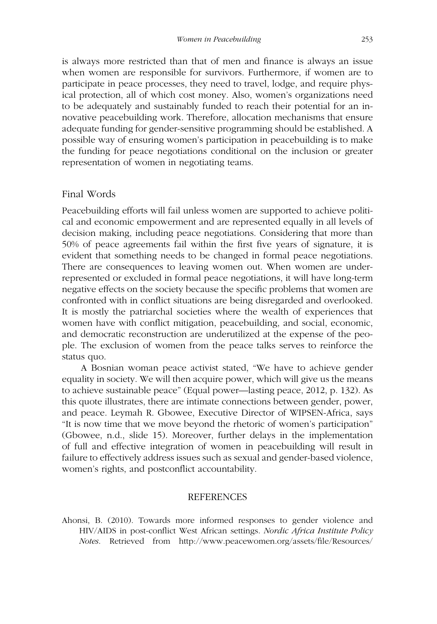is always more restricted than that of men and finance is always an issue when women are responsible for survivors. Furthermore, if women are to participate in peace processes, they need to travel, lodge, and require physical protection, all of which cost money. Also, women's organizations need to be adequately and sustainably funded to reach their potential for an innovative peacebuilding work. Therefore, allocation mechanisms that ensure adequate funding for gender-sensitive programming should be established. A possible way of ensuring women's participation in peacebuilding is to make the funding for peace negotiations conditional on the inclusion or greater representation of women in negotiating teams.

### Final Words

Peacebuilding efforts will fail unless women are supported to achieve political and economic empowerment and are represented equally in all levels of decision making, including peace negotiations. Considering that more than 50% of peace agreements fail within the first five years of signature, it is evident that something needs to be changed in formal peace negotiations. There are consequences to leaving women out. When women are underrepresented or excluded in formal peace negotiations, it will have long-term negative effects on the society because the specific problems that women are confronted with in conflict situations are being disregarded and overlooked. It is mostly the patriarchal societies where the wealth of experiences that women have with conflict mitigation, peacebuilding, and social, economic, and democratic reconstruction are underutilized at the expense of the people. The exclusion of women from the peace talks serves to reinforce the status quo.

A Bosnian woman peace activist stated, "We have to achieve gender equality in society. We will then acquire power, which will give us the means to achieve sustainable peace" (Equal power—lasting peace, 2012, p. 132). As this quote illustrates, there are intimate connections between gender, power, and peace. Leymah R. Gbowee, Executive Director of WIPSEN-Africa, says "It is now time that we move beyond the rhetoric of women's participation" (Gbowee, n.d., slide 15). Moreover, further delays in the implementation of full and effective integration of women in peacebuilding will result in failure to effectively address issues such as sexual and gender-based violence, women's rights, and postconflict accountability.

#### **REFERENCES**

Ahonsi, B. (2010). Towards more informed responses to gender violence and HIV/AIDS in post-conflict West African settings. *Nordic Africa Institute Policy Notes*. Retrieved from http://www.peacewomen.org/assets/file/Resources/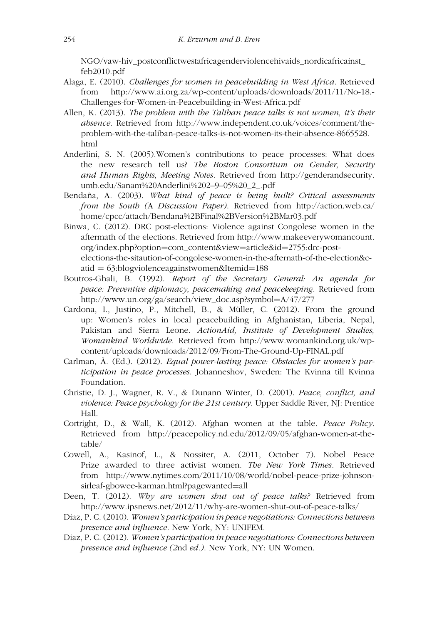NGO/vaw-hiv\_postconflictwestafricagenderviolencehivaids\_nordicafricainst\_ feb2010.pdf

- Alaga, E. (2010). *Challenges for women in peacebuilding in West Africa*. Retrieved from http://www.ai.org.za/wp-content/uploads/downloads/2011/11/No-18.- Challenges-for-Women-in-Peacebuilding-in-West-Africa.pdf
- Allen, K. (2013). *The problem with the Taliban peace talks is not women, it's their absence*. Retrieved from http://www.independent.co.uk/voices/comment/theproblem-with-the-taliban-peace-talks-is-not-women-its-their-absence-8665528. html
- Anderlini, S. N. (2005).Women's contributions to peace processes: What does the new research tell us? *The Boston Consortium on Gender, Security and Human Rights, Meeting Notes*. Retrieved from http://genderandsecurity. umb.edu/Sanam%20Anderlini%202–9–05%20\_2\_.pdf
- Bendaña, A. (2003). What kind of peace is being built? Critical assessments *from the South (*A *Discussion Paper)*. Retrieved from http://action.web.ca/ home/cpcc/attach/Bendana%2BFinal%2BVersion%2BMar03.pdf
- Binwa, C. (2012). DRC post-elections: Violence against Congolese women in the aftermath of the elections. Retrieved from http://www.makeeverywomancount. org/index.php?option=com\_content&view=article&id=2755:drc-postelections-the-sitaution-of-congolese-women-in-the-afternath-of-the-election&c-

atid = 63:blogviolenceagainstwomen&Itemid=188

- Boutros-Ghali, B. (1992). *Report of the Secretary General: An agenda for peace: Preventive diplomacy, peacemaking and peacekeeping*. Retrieved from http://www.un.org/ga/search/view\_doc.asp?symbol=A/47/277
- Cardona, I., Justino, P., Mitchell, B., & Müller, C. (2012). From the ground up: Women's roles in local peacebuilding in Afghanistan, Liberia, Nepal, Pakistan and Sierra Leone. *ActionAid, Institute of Development Studies, Womankind Worldwide*. Retrieved from http://www.womankind.org.uk/wpcontent/uploads/downloads/2012/09/From-The-Ground-Up-FINAL.pdf
- Carlman, Å. (Ed.). (2012). *Equal power-lasting peace: Obstacles for women's participation in peace processes*. Johanneshov, Sweden: The Kvinna till Kvinna Foundation.
- Christie, D. J., Wagner, R. V., & Dunann Winter, D. (2001). *Peace, conflict, and violence: Peace psychology for the 21st century*. Upper Saddle River, NJ: Prentice Hall.
- Cortright, D., & Wall, K. (2012). Afghan women at the table. *Peace Policy*. Retrieved from http://peacepolicy.nd.edu/2012/09/05/afghan-women-at-thetable/
- Cowell, A., Kasinof, L., & Nossiter, A. (2011, October 7). Nobel Peace Prize awarded to three activist women. *The New York Times*. Retrieved from http://www.nytimes.com/2011/10/08/world/nobel-peace-prize-johnsonsirleaf-gbowee-karman.html?pagewanted=all
- Deen, T. (2012). *Why are women shut out of peace talks?* Retrieved from http://www.ipsnews.net/2012/11/why-are-women-shut-out-of-peace-talks/
- Diaz, P. C. (2010). *Women's participation in peace negotiations: Connections between presence and influence*. New York, NY: UNIFEM.
- Diaz, P. C. (2012). *Women's participation in peace negotiations: Connections between presence and influence (2*nd *ed.)*. New York, NY: UN Women.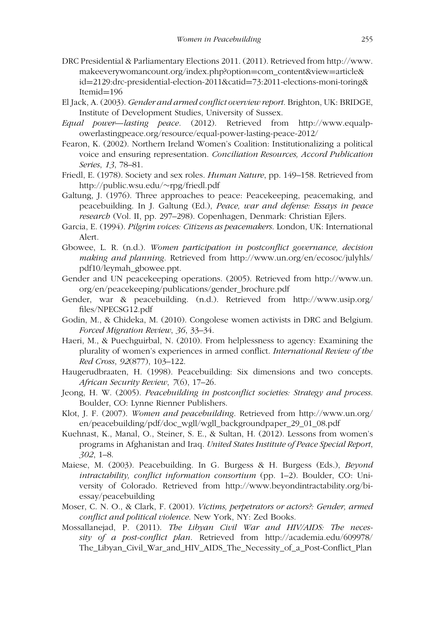- DRC Presidential & Parliamentary Elections 2011. (2011). Retrieved from http://www. makeeverywomancount.org/index.php?option=com\_content&view=article& id=2129:drc-presidential-election-2011&catid=73:2011-elections-moni-toring& Itemid=196
- El Jack, A. (2003). *Gender and armed conflict overview report*. Brighton, UK: BRIDGE, Institute of Development Studies, University of Sussex.
- *Equal power—lasting peace*. (2012). Retrieved from http://www.equalpowerlastingpeace.org/resource/equal-power-lasting-peace-2012/
- Fearon, K. (2002). Northern Ireland Women's Coalition: Institutionalizing a political voice and ensuring representation. *Conciliation Resources, Accord Publication Series*, *13*, 78–81.
- Friedl, E. (1978). Society and sex roles. *Human Nature*, pp. 149–158. Retrieved from http://public.wsu.edu/∼rpg/friedl.pdf
- Galtung, J. (1976). Three approaches to peace: Peacekeeping, peacemaking, and peacebuilding. In J. Galtung (Ed.), *Peace, war and defense: Essays in peace research* (Vol. II, pp. 297–298). Copenhagen, Denmark: Christian Ejlers.
- Garcia, E. (1994). *Pilgrim voices: Citizens as peacemakers*. London, UK: International Alert.
- Gbowee, L. R. (n.d.). *Women participation in postconflict governance, decision making and planning*. Retrieved from http://www.un.org/en/ecosoc/julyhls/ pdf10/leymah\_gbowee.ppt.
- Gender and UN peacekeeping operations. (2005). Retrieved from http://www.un. org/en/peacekeeping/publications/gender\_brochure.pdf
- Gender, war & peacebuilding. (n.d.). Retrieved from http://www.usip.org/ files/NPECSG12.pdf
- Godin, M., & Chideka, M. (2010). Congolese women activists in DRC and Belgium. *Forced Migration Review*, *36*, 33–34.
- Haeri, M., & Puechguirbal, N. (2010). From helplessness to agency: Examining the plurality of women's experiences in armed conflict. *International Review of the Red Cross*, *92*(877), 103–122.
- Haugerudbraaten, H. (1998). Peacebuilding: Six dimensions and two concepts. *African Security Review*, *7*(6), 17–26.
- Jeong, H. W. (2005). *Peacebuilding in postconflict societies: Strategy and process*. Boulder, CO: Lynne Rienner Publishers.
- Klot, J. F. (2007). *Women and peacebuilding*. Retrieved from http://www.un.org/ en/peacebuilding/pdf/doc\_wgll/wgll\_backgroundpaper\_29\_01\_08.pdf
- Kuehnast, K., Manal, O., Steiner, S. E., & Sultan, H. (2012). Lessons from women's programs in Afghanistan and Iraq. *United States Institute of Peace Special Report*, *302*, 1–8.
- Maiese, M. (2003). Peacebuilding. In G. Burgess & H. Burgess (Eds.), *Beyond intractability, conflict information consortium* (pp. 1–2). Boulder, CO: University of Colorado. Retrieved from http://www.beyondintractability.org/biessay/peacebuilding
- Moser, C. N. O., & Clark, F. (2001). *Victims, perpetrators or actors?: Gender, armed conflict and political violence*. New York, NY: Zed Books.
- Mossallanejad, P. (2011). *The Libyan Civil War and HIV/AIDS: The necessity of a post-conflict plan*. Retrieved from http://academia.edu/609978/ The\_Libyan\_Civil\_War\_and\_HIV\_AIDS\_The\_Necessity\_of\_a\_Post-Conflict\_Plan